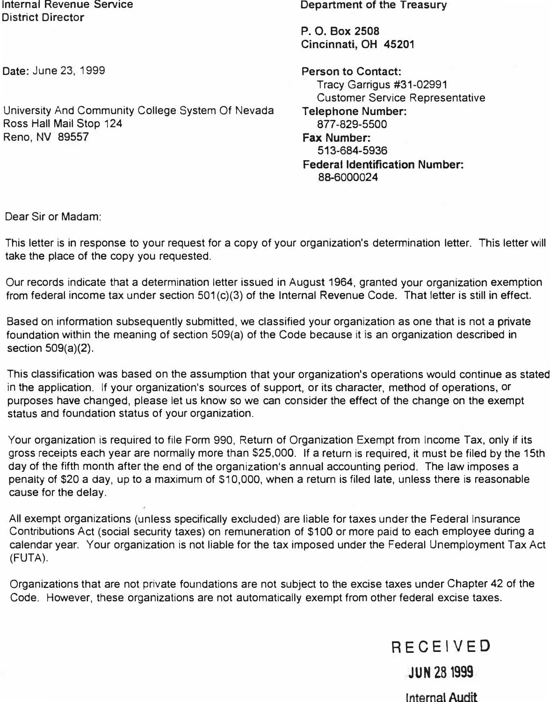Internal Revenue Service District Director

Date: June 23, 1999

University And Community College System Of Nevada Ross Hall Mail Stop 124 Reno, NV 89557

**Department of the Treasury** 

**P. 0. Box 2508 Cincinnati, OH 45201** 

**Person to Contact:**  Tracy Garrigus #31-02991 Customer Service Representative **Telephone Number: 877-829-5500 Fax** Number: 513-684-5936

**Federal Identification Number:**  88-6000024

Dear Sir or Madam:

This letter is in response to your request for a copy of your organization's determination letter. This letter will take the place of the copy you requested.

Our records indicate that a determination letter issued in August 1964, granted your organization exemption from federal income tax under section 501 (c)(3) of the Internal Revenue Code. That letter is still in effect.

Based on information subsequently submitted, we classified your organization as one that is not a private foundation within the meaning of section 509(a) of the Code because it is an organization described in section 509(a)(2).

This classification was based on the assumption that your organization's operations would continue as stated in the application. If your organization's sources of support, or its character, method of operations, or purposes have changed, please let us know so we can consider the effect of the change on the exempt status and foundation status of your organization.

Your organization is required to file Form 990, Return of Organization Exempt from Income Tax, only if its gross receipts each year are normally more than \$25,000. If a return is required, it must be filed by the 15th day of the fifth month after the end of the organization's annual accounting period. The law imposes a penalty of \$20 a day, up to a maximum of \$10,000, when a return is filed late, unless there is reasonable cause for the delay.

All exempt organizations (unless specifically excluded) are liable for taxes under the Federal Insurance Contributions Act (social security taxes) on remuneration of \$100 or more paid to each employee during a calendar year. Your organization is not liable for the tax imposed under the Federal Unemployment Tax Act (FUTA).

Organizations that are not private foundations are not subject to the excise taxes under Chapter 42 of the Code. However, these organizations are not automatically exempt from other federal excise taxes.

RECEIVED

JUN 28 1999

Internal Audit